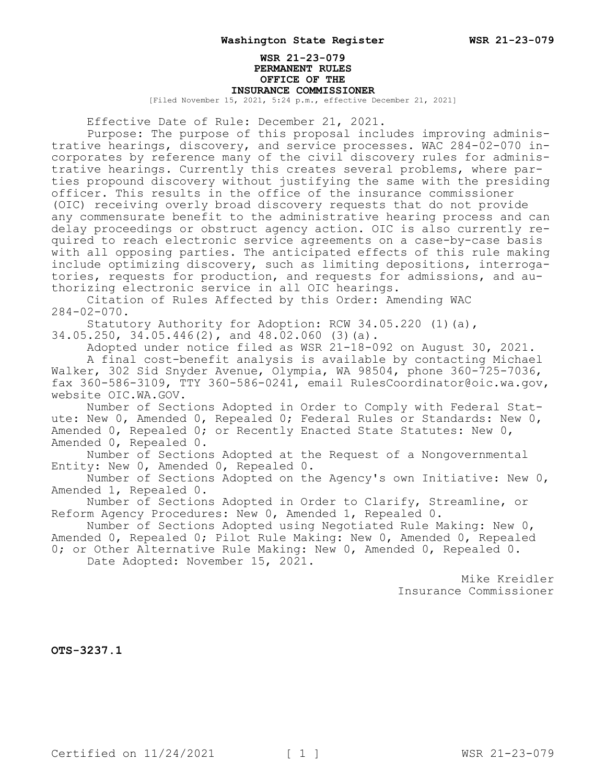## **WSR 21-23-079 PERMANENT RULES OFFICE OF THE INSURANCE COMMISSIONER**

[Filed November 15, 2021, 5:24 p.m., effective December 21, 2021]

Effective Date of Rule: December 21, 2021.

Purpose: The purpose of this proposal includes improving administrative hearings, discovery, and service processes. WAC 284-02-070 incorporates by reference many of the civil discovery rules for administrative hearings. Currently this creates several problems, where parties propound discovery without justifying the same with the presiding officer. This results in the office of the insurance commissioner (OIC) receiving overly broad discovery requests that do not provide any commensurate benefit to the administrative hearing process and can delay proceedings or obstruct agency action. OIC is also currently required to reach electronic service agreements on a case-by-case basis with all opposing parties. The anticipated effects of this rule making include optimizing discovery, such as limiting depositions, interrogatories, requests for production, and requests for admissions, and authorizing electronic service in all OIC hearings.

Citation of Rules Affected by this Order: Amending WAC 284-02-070.

Statutory Authority for Adoption: RCW 34.05.220 (1)(a),

34.05.250, 34.05.446(2), and 48.02.060 (3)(a).

Adopted under notice filed as WSR 21-18-092 on August 30, 2021. A final cost-benefit analysis is available by contacting Michael Walker, 302 Sid Snyder Avenue, Olympia, WA 98504, phone 360-725-7036, fax 360-586-3109, TTY 360-586-0241, email RulesCoordinator@oic.wa.gov, website OIC.WA.GOV.

Number of Sections Adopted in Order to Comply with Federal Statute: New 0, Amended 0, Repealed 0; Federal Rules or Standards: New 0, Amended 0, Repealed 0; or Recently Enacted State Statutes: New 0, Amended 0, Repealed 0.

Number of Sections Adopted at the Request of a Nongovernmental Entity: New 0, Amended 0, Repealed 0.

Number of Sections Adopted on the Agency's own Initiative: New 0, Amended 1, Repealed 0.

Number of Sections Adopted in Order to Clarify, Streamline, or Reform Agency Procedures: New 0, Amended 1, Repealed 0.

Number of Sections Adopted using Negotiated Rule Making: New 0, Amended 0, Repealed 0; Pilot Rule Making: New 0, Amended 0, Repealed

0; or Other Alternative Rule Making: New 0, Amended 0, Repealed 0. Date Adopted: November 15, 2021.

> Mike Kreidler Insurance Commissioner

**OTS-3237.1**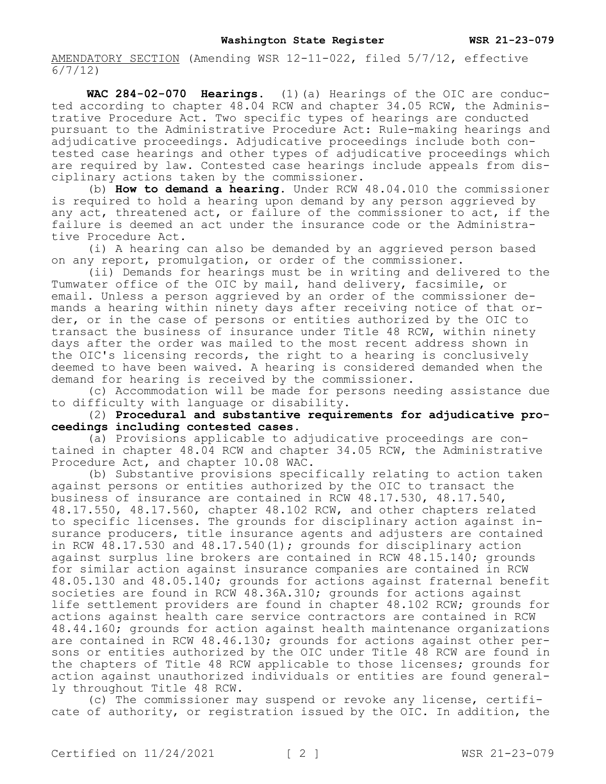AMENDATORY SECTION (Amending WSR 12-11-022, filed 5/7/12, effective 6/7/12)

**WAC 284-02-070 Hearings.** (1)(a) Hearings of the OIC are conducted according to chapter 48.04 RCW and chapter 34.05 RCW, the Administrative Procedure Act. Two specific types of hearings are conducted pursuant to the Administrative Procedure Act: Rule-making hearings and adjudicative proceedings. Adjudicative proceedings include both contested case hearings and other types of adjudicative proceedings which are required by law. Contested case hearings include appeals from disciplinary actions taken by the commissioner.

(b) **How to demand a hearing.** Under RCW 48.04.010 the commissioner is required to hold a hearing upon demand by any person aggrieved by any act, threatened act, or failure of the commissioner to act, if the failure is deemed an act under the insurance code or the Administrative Procedure Act.

(i) A hearing can also be demanded by an aggrieved person based on any report, promulgation, or order of the commissioner.

(ii) Demands for hearings must be in writing and delivered to the Tumwater office of the OIC by mail, hand delivery, facsimile, or email. Unless a person aggrieved by an order of the commissioner demands a hearing within ninety days after receiving notice of that order, or in the case of persons or entities authorized by the OIC to transact the business of insurance under Title 48 RCW, within ninety days after the order was mailed to the most recent address shown in the OIC's licensing records, the right to a hearing is conclusively deemed to have been waived. A hearing is considered demanded when the demand for hearing is received by the commissioner.

(c) Accommodation will be made for persons needing assistance due to difficulty with language or disability.

(2) **Procedural and substantive requirements for adjudicative proceedings including contested cases.**

(a) Provisions applicable to adjudicative proceedings are contained in chapter 48.04 RCW and chapter 34.05 RCW, the Administrative Procedure Act, and chapter 10.08 WAC.

(b) Substantive provisions specifically relating to action taken against persons or entities authorized by the OIC to transact the business of insurance are contained in RCW 48.17.530, 48.17.540, 48.17.550, 48.17.560, chapter 48.102 RCW, and other chapters related to specific licenses. The grounds for disciplinary action against insurance producers, title insurance agents and adjusters are contained in RCW  $48.17.530$  and  $48.17.540(1)$ ; grounds for disciplinary action against surplus line brokers are contained in RCW 48.15.140; grounds for similar action against insurance companies are contained in RCW 48.05.130 and 48.05.140; grounds for actions against fraternal benefit societies are found in RCW 48.36A.310; grounds for actions against life settlement providers are found in chapter 48.102 RCW; grounds for actions against health care service contractors are contained in RCW 48.44.160; grounds for action against health maintenance organizations are contained in RCW 48.46.130; grounds for actions against other persons or entities authorized by the OIC under Title 48 RCW are found in the chapters of Title 48 RCW applicable to those licenses; grounds for action against unauthorized individuals or entities are found generally throughout Title 48 RCW.

(c) The commissioner may suspend or revoke any license, certificate of authority, or registration issued by the OIC. In addition, the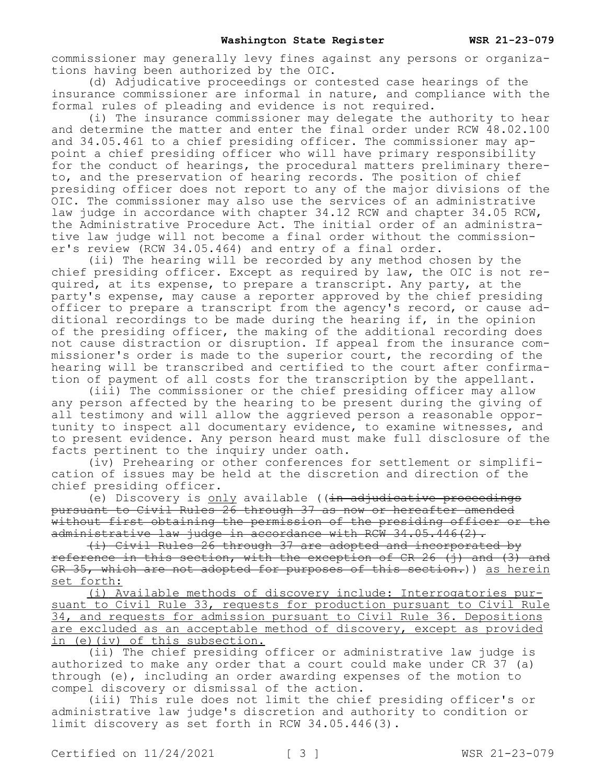commissioner may generally levy fines against any persons or organizations having been authorized by the OIC.

(d) Adjudicative proceedings or contested case hearings of the insurance commissioner are informal in nature, and compliance with the formal rules of pleading and evidence is not required.

(i) The insurance commissioner may delegate the authority to hear and determine the matter and enter the final order under RCW 48.02.100 and 34.05.461 to a chief presiding officer. The commissioner may appoint a chief presiding officer who will have primary responsibility for the conduct of hearings, the procedural matters preliminary thereto, and the preservation of hearing records. The position of chief presiding officer does not report to any of the major divisions of the OIC. The commissioner may also use the services of an administrative law judge in accordance with chapter 34.12 RCW and chapter 34.05 RCW, the Administrative Procedure Act. The initial order of an administrative law judge will not become a final order without the commissioner's review (RCW 34.05.464) and entry of a final order.

(ii) The hearing will be recorded by any method chosen by the chief presiding officer. Except as required by law, the OIC is not required, at its expense, to prepare a transcript. Any party, at the party's expense, may cause a reporter approved by the chief presiding officer to prepare a transcript from the agency's record, or cause additional recordings to be made during the hearing if, in the opinion of the presiding officer, the making of the additional recording does not cause distraction or disruption. If appeal from the insurance commissioner's order is made to the superior court, the recording of the hearing will be transcribed and certified to the court after confirmation of payment of all costs for the transcription by the appellant.

(iii) The commissioner or the chief presiding officer may allow any person affected by the hearing to be present during the giving of all testimony and will allow the aggrieved person a reasonable opportunity to inspect all documentary evidence, to examine witnesses, and to present evidence. Any person heard must make full disclosure of the facts pertinent to the inquiry under oath.

(iv) Prehearing or other conferences for settlement or simplification of issues may be held at the discretion and direction of the chief presiding officer.

(e) Discovery is only available  $((\text{in adjudicative preceedings})$ pursuant to Civil Rules 26 through 37 as now or hereafter amended without first obtaining the permission of the presiding officer or the administrative law judge in accordance with RCW  $34.05.446(2)$ .

(i) Civil Rules 26 through 37 are adopted and incorporated by reference in this section, with the exception of CR 26 (j) and (3) and CR 35, which are not adopted for purposes of this section.)) as herein set forth:

(i) Available methods of discovery include: Interrogatories pursuant to Civil Rule 33, requests for production pursuant to Civil Rule 34, and requests for admission pursuant to Civil Rule 36. Depositions are excluded as an acceptable method of discovery, except as provided in (e)(iv) of this subsection.

(ii) The chief presiding officer or administrative law judge is authorized to make any order that a court could make under CR 37 (a) through (e), including an order awarding expenses of the motion to compel discovery or dismissal of the action.

(iii) This rule does not limit the chief presiding officer's or administrative law judge's discretion and authority to condition or limit discovery as set forth in RCW 34.05.446(3).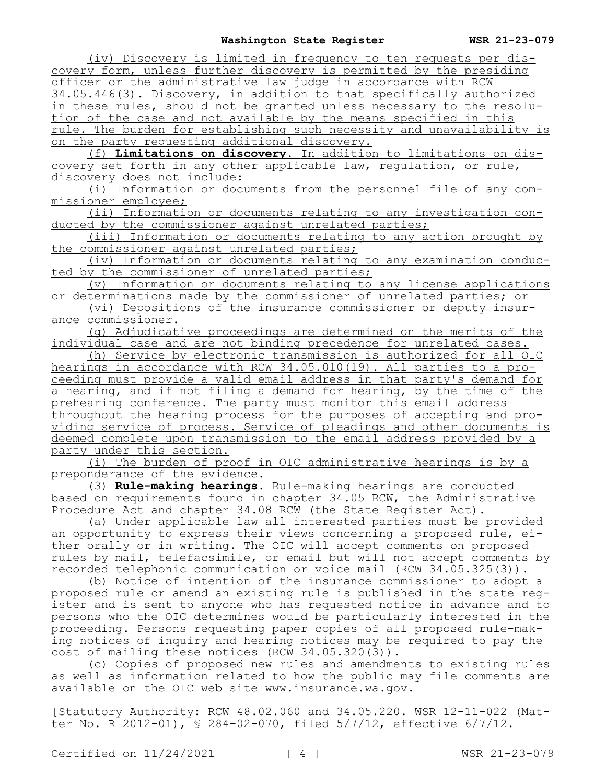(iv) Discovery is limited in frequency to ten requests per discovery form, unless further discovery is permitted by the presiding officer or the administrative law judge in accordance with RCW 34.05.446(3). Discovery, in addition to that specifically authorized in these rules, should not be granted unless necessary to the resolution of the case and not available by the means specified in this rule. The burden for establishing such necessity and unavailability is on the party requesting additional discovery.

(f) **Limitations on discovery.** In addition to limitations on discovery set forth in any other applicable law, regulation, or rule, discovery does not include:

(i) Information or documents from the personnel file of any commissioner employee;

(ii) Information or documents relating to any investigation conducted by the commissioner against unrelated parties;

(iii) Information or documents relating to any action brought by the commissioner against unrelated parties;

(iv) Information or documents relating to any examination conducted by the commissioner of unrelated parties;

(v) Information or documents relating to any license applications or determinations made by the commissioner of unrelated parties; or

(vi) Depositions of the insurance commissioner or deputy insurance commissioner.

(g) Adjudicative proceedings are determined on the merits of the individual case and are not binding precedence for unrelated cases.

(h) Service by electronic transmission is authorized for all OIC hearings in accordance with RCW 34.05.010(19). All parties to a proceeding must provide a valid email address in that party's demand for a hearing, and if not filing a demand for hearing, by the time of the prehearing conference. The party must monitor this email address throughout the hearing process for the purposes of accepting and providing service of process. Service of pleadings and other documents is deemed complete upon transmission to the email address provided by a party under this section.

(i) The burden of proof in OIC administrative hearings is by a preponderance of the evidence.

(3) **Rule-making hearings.** Rule-making hearings are conducted based on requirements found in chapter 34.05 RCW, the Administrative Procedure Act and chapter 34.08 RCW (the State Register Act).

(a) Under applicable law all interested parties must be provided an opportunity to express their views concerning a proposed rule, either orally or in writing. The OIC will accept comments on proposed rules by mail, telefacsimile, or email but will not accept comments by recorded telephonic communication or voice mail (RCW 34.05.325(3)).

(b) Notice of intention of the insurance commissioner to adopt a proposed rule or amend an existing rule is published in the state register and is sent to anyone who has requested notice in advance and to persons who the OIC determines would be particularly interested in the proceeding. Persons requesting paper copies of all proposed rule-making notices of inquiry and hearing notices may be required to pay the cost of mailing these notices (RCW 34.05.320(3)).

(c) Copies of proposed new rules and amendments to existing rules as well as information related to how the public may file comments are available on the OIC web site www.insurance.wa.gov.

[Statutory Authority: RCW 48.02.060 and 34.05.220. WSR 12-11-022 (Matter No. R 2012-01), § 284-02-070, filed 5/7/12, effective 6/7/12.